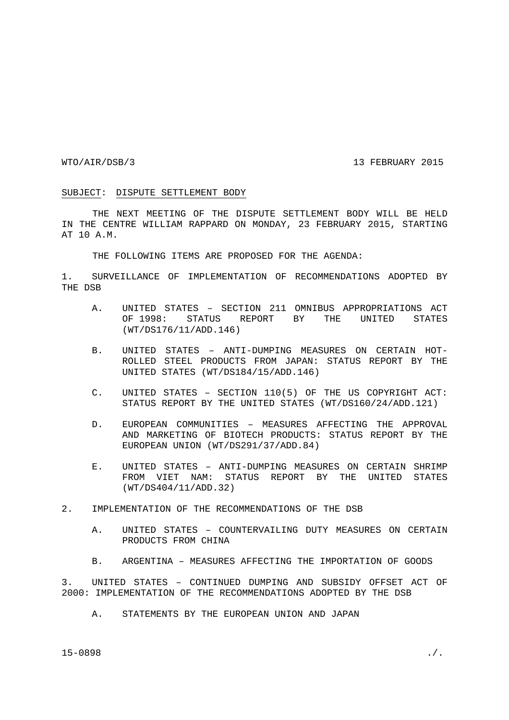## WTO/AIR/DSB/3 13 FEBRUARY 2015

## SUBJECT: DISPUTE SETTLEMENT BODY

THE NEXT MEETING OF THE DISPUTE SETTLEMENT BODY WILL BE HELD IN THE CENTRE WILLIAM RAPPARD ON MONDAY, 23 FEBRUARY 2015, STARTING AT 10 A.M.

THE FOLLOWING ITEMS ARE PROPOSED FOR THE AGENDA:

1. SURVEILLANCE OF IMPLEMENTATION OF RECOMMENDATIONS ADOPTED BY THE DSB

- A. UNITED STATES SECTION 211 OMNIBUS APPROPRIATIONS ACT OF 1998: STATUS REPORT BY THE UNITED STATES (WT/DS176/11/ADD.146)
- B. UNITED STATES ANTI-DUMPING MEASURES ON CERTAIN HOT-ROLLED STEEL PRODUCTS FROM JAPAN: STATUS REPORT BY THE UNITED STATES (WT/DS184/15/ADD.146)
- C. UNITED STATES SECTION 110(5) OF THE US COPYRIGHT ACT: STATUS REPORT BY THE UNITED STATES (WT/DS160/24/ADD.121)
- D. EUROPEAN COMMUNITIES MEASURES AFFECTING THE APPROVAL AND MARKETING OF BIOTECH PRODUCTS: STATUS REPORT BY THE EUROPEAN UNION (WT/DS291/37/ADD.84)
- E. UNITED STATES ANTI-DUMPING MEASURES ON CERTAIN SHRIMP FROM VIET NAM: STATUS REPORT BY THE UNITED STATES (WT/DS404/11/ADD.32)

## 2. IMPLEMENTATION OF THE RECOMMENDATIONS OF THE DSB

- A. UNITED STATES COUNTERVAILING DUTY MEASURES ON CERTAIN PRODUCTS FROM CHINA
- B. ARGENTINA MEASURES AFFECTING THE IMPORTATION OF GOODS

3. UNITED STATES – CONTINUED DUMPING AND SUBSIDY OFFSET ACT OF 2000: IMPLEMENTATION OF THE RECOMMENDATIONS ADOPTED BY THE DSB

A. STATEMENTS BY THE EUROPEAN UNION AND JAPAN